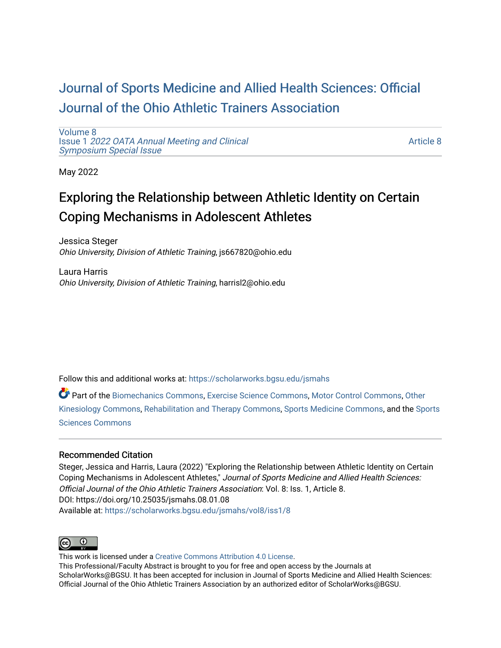## [Journal of Sports Medicine and Allied Health Sciences: Official](https://scholarworks.bgsu.edu/jsmahs)  [Journal of the Ohio Athletic Trainers Association](https://scholarworks.bgsu.edu/jsmahs)

[Volume 8](https://scholarworks.bgsu.edu/jsmahs/vol8) Issue 1 [2022 OATA Annual Meeting and Clinical](https://scholarworks.bgsu.edu/jsmahs/vol8/iss1) [Symposium Special Issue](https://scholarworks.bgsu.edu/jsmahs/vol8/iss1)

[Article 8](https://scholarworks.bgsu.edu/jsmahs/vol8/iss1/8) 

May 2022

# Exploring the Relationship between Athletic Identity on Certain Coping Mechanisms in Adolescent Athletes

Jessica Steger Ohio University, Division of Athletic Training, js667820@ohio.edu

Laura Harris Ohio University, Division of Athletic Training, harrisl2@ohio.edu

Follow this and additional works at: [https://scholarworks.bgsu.edu/jsmahs](https://scholarworks.bgsu.edu/jsmahs?utm_source=scholarworks.bgsu.edu%2Fjsmahs%2Fvol8%2Fiss1%2F8&utm_medium=PDF&utm_campaign=PDFCoverPages)

Part of the [Biomechanics Commons,](https://network.bepress.com/hgg/discipline/43?utm_source=scholarworks.bgsu.edu%2Fjsmahs%2Fvol8%2Fiss1%2F8&utm_medium=PDF&utm_campaign=PDFCoverPages) [Exercise Science Commons](https://network.bepress.com/hgg/discipline/1091?utm_source=scholarworks.bgsu.edu%2Fjsmahs%2Fvol8%2Fiss1%2F8&utm_medium=PDF&utm_campaign=PDFCoverPages), [Motor Control Commons](https://network.bepress.com/hgg/discipline/45?utm_source=scholarworks.bgsu.edu%2Fjsmahs%2Fvol8%2Fiss1%2F8&utm_medium=PDF&utm_campaign=PDFCoverPages), [Other](https://network.bepress.com/hgg/discipline/47?utm_source=scholarworks.bgsu.edu%2Fjsmahs%2Fvol8%2Fiss1%2F8&utm_medium=PDF&utm_campaign=PDFCoverPages)  [Kinesiology Commons,](https://network.bepress.com/hgg/discipline/47?utm_source=scholarworks.bgsu.edu%2Fjsmahs%2Fvol8%2Fiss1%2F8&utm_medium=PDF&utm_campaign=PDFCoverPages) [Rehabilitation and Therapy Commons](https://network.bepress.com/hgg/discipline/749?utm_source=scholarworks.bgsu.edu%2Fjsmahs%2Fvol8%2Fiss1%2F8&utm_medium=PDF&utm_campaign=PDFCoverPages), [Sports Medicine Commons](https://network.bepress.com/hgg/discipline/1331?utm_source=scholarworks.bgsu.edu%2Fjsmahs%2Fvol8%2Fiss1%2F8&utm_medium=PDF&utm_campaign=PDFCoverPages), and the [Sports](https://network.bepress.com/hgg/discipline/759?utm_source=scholarworks.bgsu.edu%2Fjsmahs%2Fvol8%2Fiss1%2F8&utm_medium=PDF&utm_campaign=PDFCoverPages)  [Sciences Commons](https://network.bepress.com/hgg/discipline/759?utm_source=scholarworks.bgsu.edu%2Fjsmahs%2Fvol8%2Fiss1%2F8&utm_medium=PDF&utm_campaign=PDFCoverPages) 

#### Recommended Citation

Steger, Jessica and Harris, Laura (2022) "Exploring the Relationship between Athletic Identity on Certain Coping Mechanisms in Adolescent Athletes," Journal of Sports Medicine and Allied Health Sciences: Official Journal of the Ohio Athletic Trainers Association: Vol. 8: Iss. 1, Article 8. DOI: https://doi.org/10.25035/jsmahs.08.01.08 Available at: [https://scholarworks.bgsu.edu/jsmahs/vol8/iss1/8](https://scholarworks.bgsu.edu/jsmahs/vol8/iss1/8?utm_source=scholarworks.bgsu.edu%2Fjsmahs%2Fvol8%2Fiss1%2F8&utm_medium=PDF&utm_campaign=PDFCoverPages)



This work is licensed under a [Creative Commons Attribution 4.0 License](https://creativecommons.org/licenses/by/4.0/). This Professional/Faculty Abstract is brought to you for free and open access by the Journals at ScholarWorks@BGSU. It has been accepted for inclusion in Journal of Sports Medicine and Allied Health Sciences: Official Journal of the Ohio Athletic Trainers Association by an authorized editor of ScholarWorks@BGSU.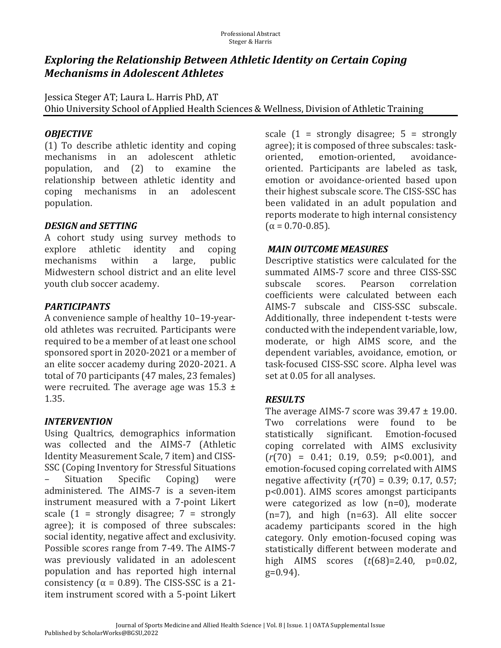### **Exploring the Relationship Between Athletic Identity on Certain Coping Mechanisms in Adolescent Athletes**

Jessica Steger AT; Laura L. Harris PhD, AT Ohio University School of Applied Health Sciences & Wellness, Division of Athletic Training

#### *OBJECTIVE*

 $(1)$  To describe athletic identity and coping mechanisms in an adolescent athletic population, and (2) to examine the relationship between athletic identity and coping mechanisms in an adolescent population.

#### *DESIGN.and.SETTING*

A cohort study using survey methods to explore athletic identity and coping mechanisms within a large, public Midwestern school district and an elite level youth club soccer academy.

### *PARTICIPANTS*

A convenience sample of healthy 10–19-yearold athletes was recruited. Participants were required to be a member of at least one school sponsored sport in 2020-2021 or a member of an elite soccer academy during 2020-2021. A total of 70 participants (47 males, 23 females) were recruited. The average age was  $15.3 \pm$ 1.35.

### *INTERVENTION*

Using Qualtrics, demographics information was collected and the AIMS-7 (Athletic Identity Measurement Scale, 7 item) and CISS-SSC (Coping Inventory for Stressful Situations Situation Specific Coping) were administered. The AIMS-7 is a seven-item instrument measured with a 7-point Likert scale  $(1 =$  strongly disagree;  $7 =$  strongly agree); it is composed of three subscales: social identity, negative affect and exclusivity. Possible scores range from 7-49. The AIMS-7 was previously validated in an adolescent population and has reported high internal consistency ( $\alpha$  = 0.89). The CISS-SSC is a 21item instrument scored with a 5-point Likert

scale  $(1 =$  strongly disagree;  $5 =$  strongly agree); it is composed of three subscales: taskoriented, emotion-oriented, avoidanceoriented. Participants are labeled as task, emotion or avoidance-oriented based upon their highest subscale score. The CISS-SSC has been validated in an adult population and reports moderate to high internal consistency  $(\alpha = 0.70 - 0.85)$ .

#### *MAIN.OUTCOME.MEASURES*

Descriptive statistics were calculated for the summated AIMS-7 score and three CISS-SSC subscale scores. Pearson correlation coefficients were calculated between each AIMS-7 subscale and CISS-SSC subscale. Additionally, three independent t-tests were conducted with the independent variable, low, moderate, or high AIMS score, and the dependent variables, avoidance, emotion, or task-focused CISS-SSC score. Alpha level was set at 0.05 for all analyses.

### *RESULTS*

The average AIMS-7 score was  $39.47 \pm 19.00$ . Two correlations were found to be statistically significant. Emotion-focused coping correlated with AIMS exclusivity  $(r(70) = 0.41; 0.19, 0.59; p<0.001)$ , and emotion-focused coping correlated with AIMS negative affectivity  $(r(70) = 0.39; 0.17, 0.57;$ p<0.001). AIMS scores amongst participants were categorized as low  $(n=0)$ , moderate  $(n=7)$ , and high  $(n=63)$ . All elite soccer academy participants scored in the high category. Only emotion-focused coping was statistically different between moderate and high AIMS scores (*t*(68)=2.40, p=0.02, g=0.94).